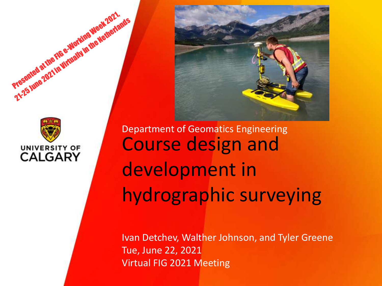

Presented at the FIG e-Working Week 2021,

21-25 June 2021 in Virtually in the Metherlands

Course design and development in hydrographic surveying Department of Geomatics Engineering

Ivan Detchev, Walther Johnson, and Tyler Greene Tue, June 22, 2021 Virtual FIG 2021 Meeting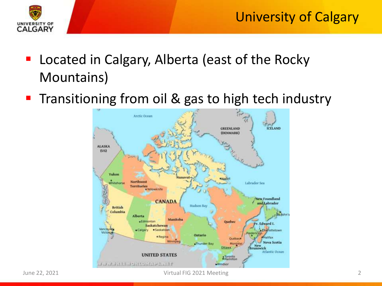

- Located in Calgary, Alberta (east of the Rocky Mountains)
- Transitioning from oil & gas to high tech industry

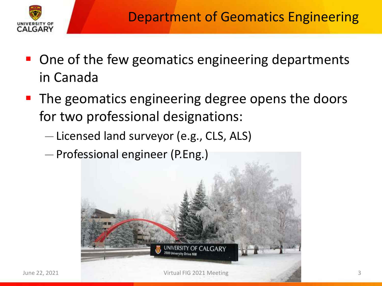

- One of the few geomatics engineering departments in Canada
- **The geomatics engineering degree opens the doors** for two professional designations:
	- —Licensed land surveyor (e.g., CLS, ALS)
	- —Professional engineer (P.Eng.)

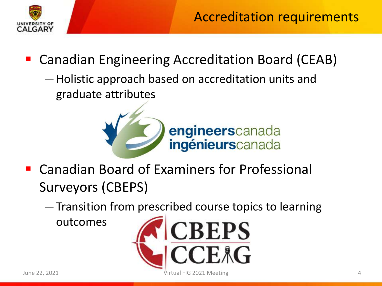

- Canadian Engineering Accreditation Board (CEAB)
	- —Holistic approach based on accreditation units and graduate attributes



- Canadian Board of Examiners for Professional Surveyors (CBEPS)
	- —Transition from prescribed course topics to learning

outcomes

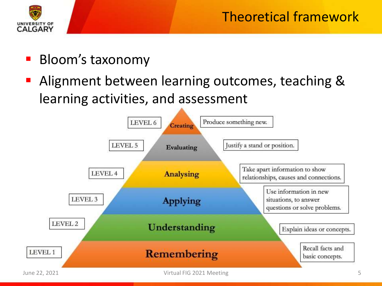



- Bloom's taxonomy
- Alignment between learning outcomes, teaching & learning activities, and assessment

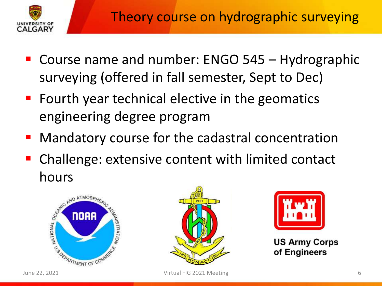

- Course name and number: ENGO 545 Hydrographic surveying (offered in fall semester, Sept to Dec)
- Fourth year technical elective in the geomatics engineering degree program
- Mandatory course for the cadastral concentration
- Challenge: extensive content with limited contact







**US Army Corps** of Engineers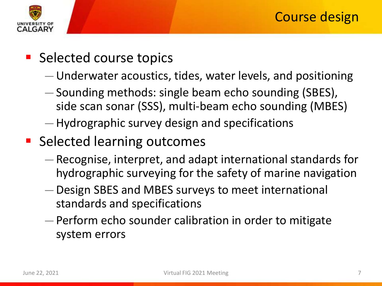



- Selected course topics
	- —Underwater acoustics, tides, water levels, and positioning
	- —Sounding methods: single beam echo sounding (SBES), side scan sonar (SSS), multi-beam echo sounding (MBES)
	- —Hydrographic survey design and specifications
- Selected learning outcomes
	- —Recognise, interpret, and adapt international standards for hydrographic surveying for the safety of marine navigation
	- —Design SBES and MBES surveys to meet international standards and specifications
	- —Perform echo sounder calibration in order to mitigate system errors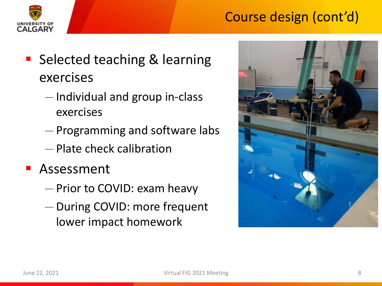# Course design (cont'd)



- Selected teaching & learning exercises
	- —Individual and group in-class exercises
	- —Programming and software labs
	- —Plate check calibration
- **E** Assessment
	- —Prior to COVID: exam heavy
	- —During COVID: more frequent lower impact homework

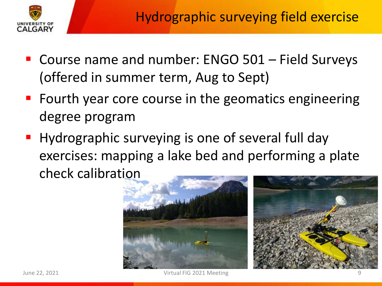

- Course name and number: ENGO 501 Field Surveys (offered in summer term, Aug to Sept)
- Fourth year core course in the geomatics engineering degree program
- Hydrographic surveying is one of several full day exercises: mapping a lake bed and performing a plate check calibration



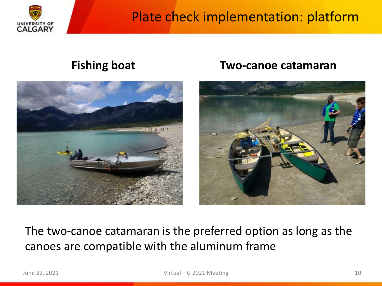

# Plate check implementation: platform

### **Fishing boat Two-canoe catamaran**



#### The two-canoe catamaran is the preferred option as long as the canoes are compatible with the aluminum frame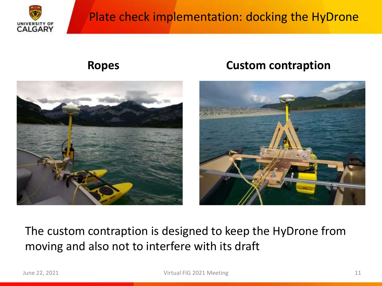

### Plate check implementation: docking the HyDrone

#### **Ropes Custom contraption**



The custom contraption is designed to keep the HyDrone from moving and also not to interfere with its draft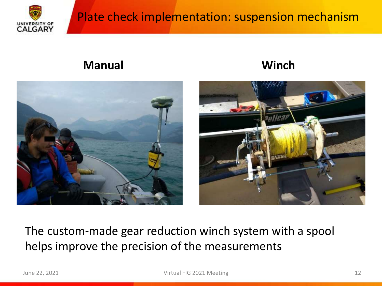

#### Plate check implementation: suspension mechanism

#### **Manual Winch**



The custom-made gear reduction winch system with a spool helps improve the precision of the measurements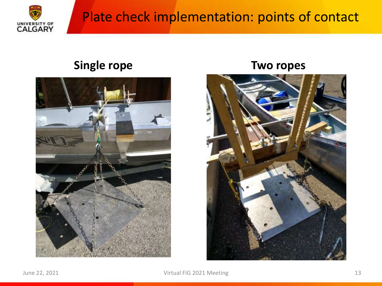

# Plate check implementation: points of contact

#### **Single rope Two ropes**



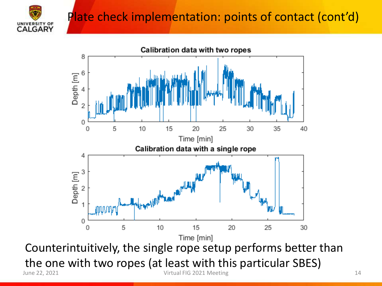

### Plate check implementation: points of contact (cont'd)



June 22, 2021 Virtual FIG 2021 Meeting 14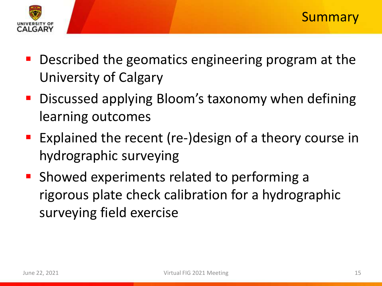

- Described the geomatics engineering program at the University of Calgary
- **Discussed applying Bloom's taxonomy when defining** learning outcomes
- Explained the recent (re-)design of a theory course in hydrographic surveying
- Showed experiments related to performing a rigorous plate check calibration for a hydrographic surveying field exercise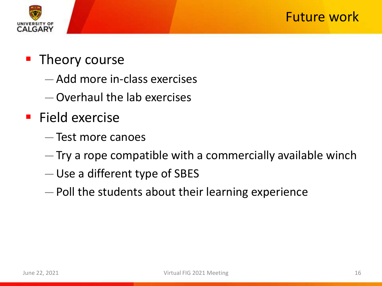

# ■ Theory course

- —Add more in-class exercises
- —Overhaul the lab exercises
- **•** Field exercise
	- —Test more canoes
	- —Try a rope compatible with a commercially available winch
	- —Use a different type of SBES
	- —Poll the students about their learning experience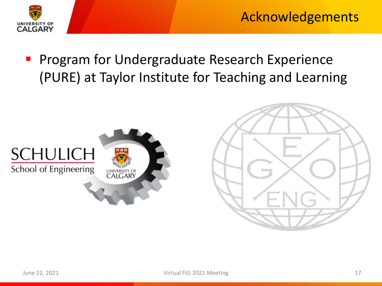

**• Program for Undergraduate Research Experience** (PURE) at Taylor Institute for Teaching and Learning



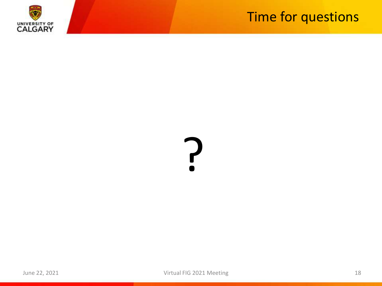

# Time for questions

# ?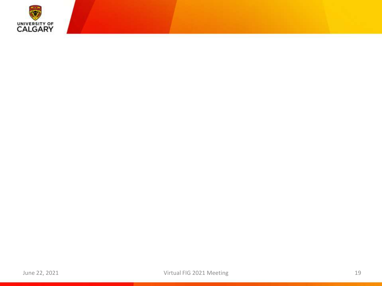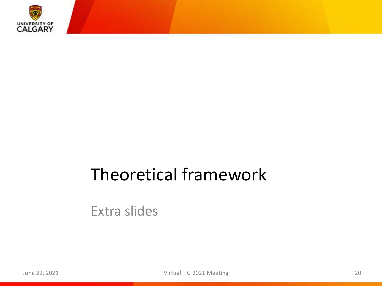

# Theoretical framework

Extra slides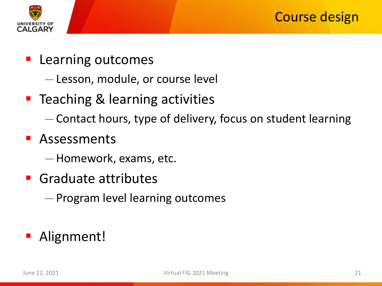

- **E** Learning outcomes
	- —Lesson, module, or course level
- **Teaching & learning activities** 
	- —Contact hours, type of delivery, focus on student learning
- **E** Assessments
	- —Homework, exams, etc.
- Graduate attributes
	- —Program level learning outcomes

# **E** Alignment!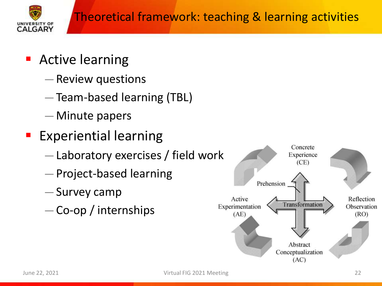

- **E** Active learning
	- —Review questions
	- —Team-based learning (TBL)
	- —Minute papers
- **Experiential learning** 
	- —Laboratory exercises / field work
	- —Project-based learning
	- —Survey camp
	- —Co-op / internships

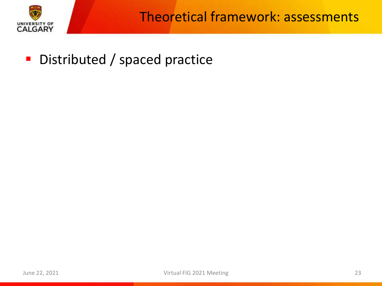

■ Distributed / spaced practice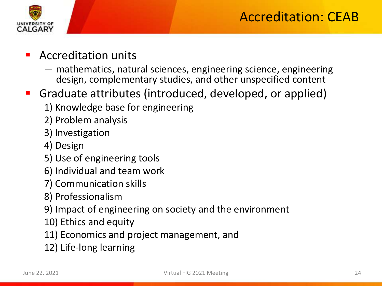

- Accreditation units
	- mathematics, natural sciences, engineering science, engineering design, complementary studies, and other unspecified content
- Graduate attributes (introduced, developed, or applied)
	- 1) Knowledge base for engineering
	- 2) Problem analysis
	- 3) Investigation
	- 4) Design
	- 5) Use of engineering tools
	- 6) Individual and team work
	- 7) Communication skills
	- 8) Professionalism
	- 9) Impact of engineering on society and the environment
	- 10) Ethics and equity
	- 11) Economics and project management, and
	- 12) Life-long learning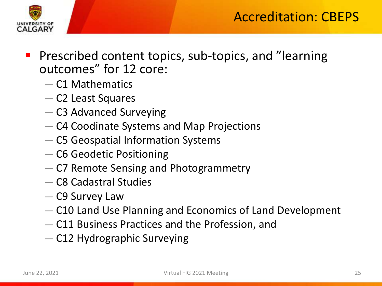

- Prescribed content topics, sub-topics, and "learning outcomes" for 12 core:
	- C1 Mathematics
	- C2 Least Squares
	- C3 Advanced Surveying
	- C4 Coodinate Systems and Map Projections
	- C5 Geospatial Information Systems
	- C6 Geodetic Positioning
	- C7 Remote Sensing and Photogrammetry
	- C8 Cadastral Studies
	- C9 Survey Law
	- C10 Land Use Planning and Economics of Land Development
	- C11 Business Practices and the Profession, and
	- C12 Hydrographic Surveying